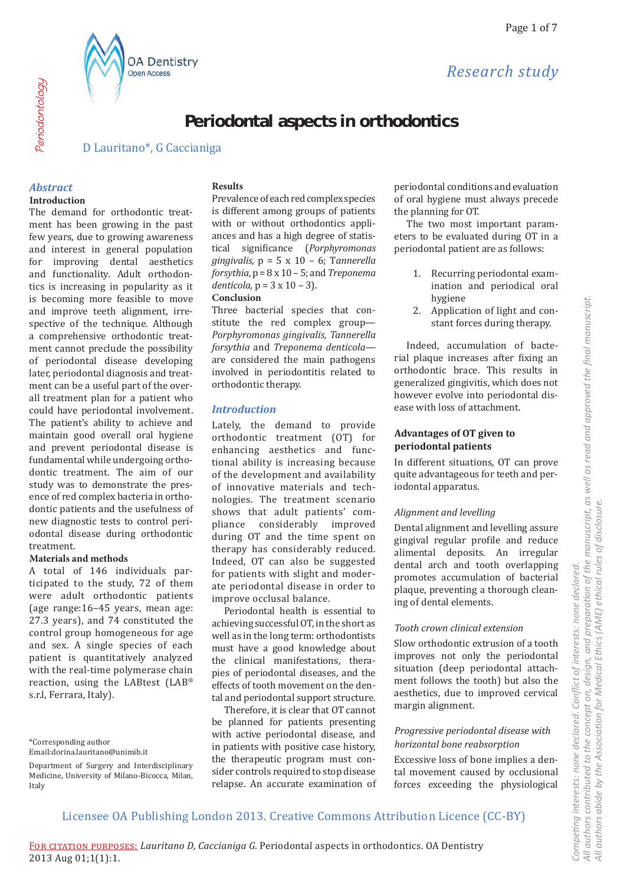Research study



D Lauritano\*, G Caccianiga

**OA Dentistry** 

Open Access

# **Abstract**

Periodontology

#### **Introduction**

The demand for orthodontic treatment has been growing in the past few years, due to growing awareness and interest in general population for improving dental aesthetics and functionality. Adult orthodontics is increasing in popularity as it is becoming more feasible to move and improve teeth alignment, irrespective of the technique. Although a comprehensive orthodontic treatment cannot preclude the possibility of periodontal disease developing later, periodontal diagnosis and treatment can be a useful part of the overall treatment plan for a patient who could have periodontal involvement. The patient's ability to achieve and maintain good overall oral hygiene and prevent periodontal disease is fundamental while undergoing orthodontic treatment. The aim of our study was to demonstrate the presence of red complex bacteria in orthodontic patients and the usefulness of new diagnostic tests to control periodontal disease during orthodontic treatment.

#### **Materials and methods**

A total of 146 individuals participated to the study, 72 of them were adult orthodontic patients (age range:16-45 years, mean age: 27.3 years), and 74 constituted the control group homogeneous for age and sex. A single species of each patient is quantitatively analyzed with the real-time polymerase chain reaction, using the LABtest (LAB® s.r.l, Ferrara, Italy).

#### **Results**

Prevalence of each red complex species is different among groups of patients with or without orthodontics appliances and has a high degree of statistical significance (Porphyromonas gingivalis,  $p = 5 \times 10 - 6$ ; Tannerella forsythia,  $p = 8 \times 10 - 5$ ; and Treponema denticola,  $p = 3 \times 10 - 3$ ).

#### Conclusion

Three bacterial species that constitute the red complex group-Porphyromonas gingivalis, Tannerella forsythia and Treponema denticolaare considered the main pathogens involved in periodontitis related to orthodontic therapy.

#### **Introduction**

Lately, the demand to provide orthodontic treatment (OT) for enhancing aesthetics and functional ability is increasing because of the development and availability of innovative materials and technologies. The treatment scenario shows that adult patients' compliance considerably improved during OT and the time spent on therapy has considerably reduced. Indeed, OT can also be suggested for patients with slight and moderate periodontal disease in order to improve occlusal balance.

Periodontal health is essential to achieving successful OT, in the short as well as in the long term: orthodontists must have a good knowledge about the clinical manifestations, therapies of periodontal diseases, and the effects of tooth movement on the dental and periodontal support structure.

Therefore, it is clear that OT cannot be planned for patients presenting with active periodontal disease, and in patients with positive case history, the therapeutic program must consider controls required to stop disease relapse. An accurate examination of periodontal conditions and evaluation of oral hygiene must always precede the planning for OT.

The two most important parameters to be evaluated during OT in a periodontal patient are as follows:

- 1. Recurring periodontal examination and periodical oral hygiene
- 2. Application of light and constant forces during therapy.

Indeed, accumulation of bacterial plaque increases after fixing an orthodontic brace. This results in generalized gingivitis, which does not however evolve into periodontal disease with loss of attachment.

# **Advantages of OT given to** periodontal patients

In different situations, OT can prove quite advantageous for teeth and periodontal apparatus.

#### Alignment and levelling

Dental alignment and levelling assure gingival regular profile and reduce alimental deposits. An irregular dental arch and tooth overlapping promotes accumulation of bacterial plaque, preventing a thorough cleaning of dental elements.

#### Tooth crown clinical extension

Slow orthodontic extrusion of a tooth improves not only the periodontal situation (deep periodontal attachment follows the tooth) but also the aesthetics, due to improved cervical margin alignment.

#### Progressive periodontal disease with horizontal bone reabsorption

Excessive loss of bone implies a dental movement caused by occlusional forces exceeding the physiological

<sup>\*</sup>Corresponding author

Email:dorina.lauritano@unimib.it

Department of Surgery and Interdisciplinary Medicine, University of Milano-Bicocca, Milan, Italy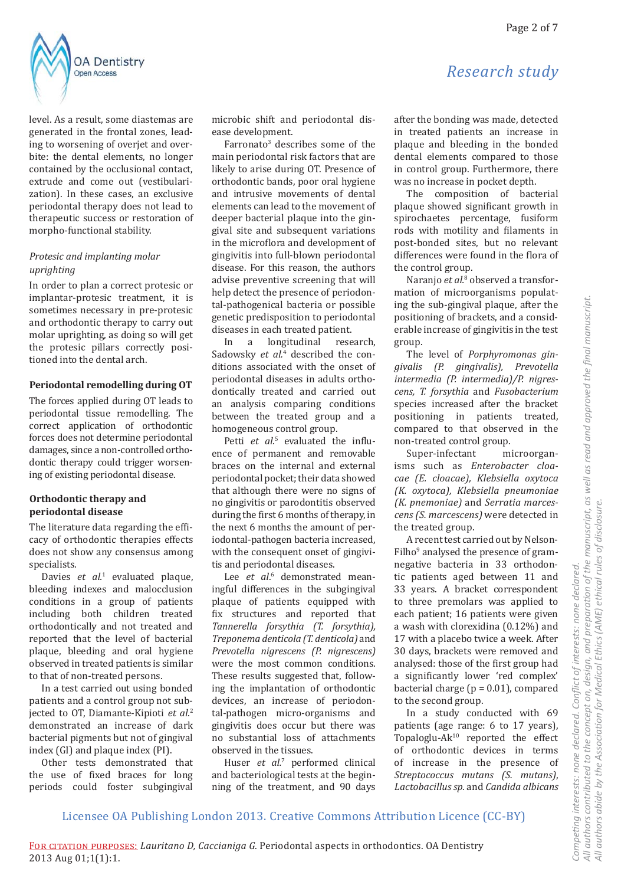level. As a result, some diastemas are generated in the frontal zones, leading to worsening of overjet and overbite: the dental elements, no longer contained by the occlusional contact, extrude and come out (vestibularization). In these cases, an exclusive periodontal therapy does not lead to therapeutic success or restoration of morpho-functional stability.

#### Protesic and implanting molar uprighting

In order to plan a correct protesic or implantar-protesic treatment, it is sometimes necessary in pre-protesic and orthodontic therapy to carry out molar uprighting, as doing so will get the protesic pillars correctly positioned into the dental arch.

#### Periodontal remodelling during OT

The forces applied during OT leads to periodontal tissue remodelling. The correct application of orthodontic forces does not determine periodontal damages, since a non-controlled orthodontic therapy could trigger worsening of existing periodontal disease.

# Orthodontic therapy and periodontal disease

The literature data regarding the efficacy of orthodontic therapies effects does not show any consensus among specialists.

Davies et al.<sup>1</sup> evaluated plaque, bleeding indexes and malocclusion conditions in a group of patients including both children treated orthodontically and not treated and reported that the level of bacterial plaque, bleeding and oral hygiene observed in treated patients is similar to that of non-treated persons.

In a test carried out using bonded patients and a control group not subjected to OT, Diamante-Kipioti et al.<sup>2</sup> demonstrated an increase of dark bacterial pigments but not of gingival index (GI) and plaque index (PI).

Other tests demonstrated that the use of fixed braces for long periods could foster subgingival microbic shift and periodontal disease development.

Farronato<sup>3</sup> describes some of the main periodontal risk factors that are likely to arise during OT. Presence of orthodontic bands, poor oral hygiene and intrusive movements of dental elements can lead to the movement of deeper bacterial plaque into the gingival site and subsequent variations in the microflora and development of gingivitis into full-blown periodontal disease. For this reason, the authors advise preventive screening that will help detect the presence of periodontal-pathogenical bacteria or possible genetic predisposition to periodontal diseases in each treated patient.

In a longitudinal research. Sadowsky et al.<sup>4</sup> described the conditions associated with the onset of periodontal diseases in adults orthodontically treated and carried out an analysis comparing conditions between the treated group and a homogeneous control group.

Petti et al.<sup>5</sup> evaluated the influence of permanent and removable braces on the internal and external periodontal pocket; their data showed that although there were no signs of no gingivitis or parodontitis observed during the first 6 months of therapy, in the next 6 months the amount of periodontal-pathogen bacteria increased, with the consequent onset of gingivitis and periodontal diseases.

Lee et al.<sup>6</sup> demonstrated meaningful differences in the subgingival plaque of patients equipped with fix structures and reported that Tannerella forsythia (T. forsythia), Treponema denticola (T. denticola) and Prevotella nigrescens (P. nigrescens) were the most common conditions. These results suggested that, following the implantation of orthodontic devices, an increase of periodontal-pathogen micro-organisms and gingivitis does occur but there was no substantial loss of attachments observed in the tissues.

Huser et al.7 performed clinical and bacteriological tests at the beginning of the treatment, and 90 days

# Research study

after the bonding was made, detected in treated patients an increase in plaque and bleeding in the bonded dental elements compared to those in control group. Furthermore, there was no increase in pocket depth.

The composition of bacterial plaque showed significant growth in spirochaetes percentage, fusiform rods with motility and filaments in post-bonded sites, but no relevant differences were found in the flora of the control group.

Naranjo et al.<sup>8</sup> observed a transformation of microorganisms populating the sub-gingival plaque, after the positioning of brackets, and a considerable increase of gingivitis in the test group.

The level of Porphyromonas gingivalis (P. gingivalis), Prevotella intermedia (P. intermedia)/P. nigrescens, T. forsythia and Fusobacterium species increased after the bracket positioning in patients treated, compared to that observed in the non-treated control group.

Super-infectant microorganisms such as Enterobacter cloacae (E. cloacae), Klebsiella oxytoca (K. oxytoca), Klebsiella pneumoniae (K. pnemoniae) and Serratia marcescens (S. marcescens) were detected in the treated group.

A recent test carried out by Nelson-Filho<sup>9</sup> analysed the presence of gramnegative bacteria in 33 orthodontic patients aged between 11 and 33 years. A bracket correspondent to three premolars was applied to each patient; 16 patients were given a wash with clorexidina (0.12%) and 17 with a placebo twice a week. After 30 days, brackets were removed and analysed: those of the first group had a significantly lower 'red complex' bacterial charge ( $p = 0.01$ ), compared to the second group.

In a study conducted with 69 patients (age range: 6 to 17 years), Topaloglu-Ak<sup>10</sup> reported the effect of orthodontic devices in terms of increase in the presence of Streptococcus mutans (S. mutans), Lactobacillus sp. and Candida albicans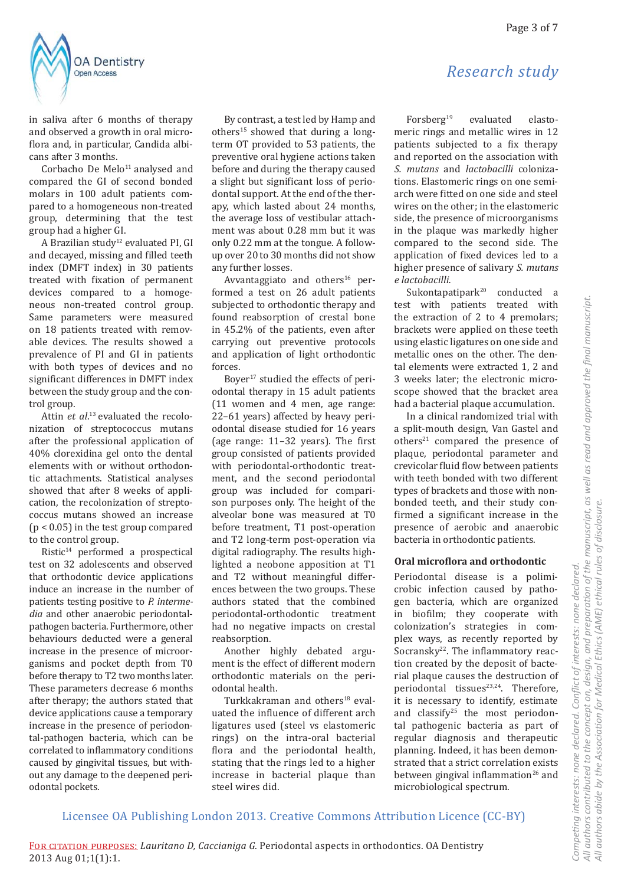

in saliva after 6 months of therapy and observed a growth in oral microflora and, in particular, Candida albicans after 3 months.

Corbacho De Melo<sup>11</sup> analysed and compared the GI of second bonded molars in 100 adult patients compared to a homogeneous non-treated group, determining that the test group had a higher GI.

A Brazilian study<sup>12</sup> evaluated PI, GI and decayed, missing and filled teeth index (DMFT index) in 30 patients treated with fixation of permanent devices compared to a homogeneous non-treated control group. Same parameters were measured on 18 patients treated with removable devices. The results showed a prevalence of PI and GI in patients with both types of devices and no significant differences in DMFT index between the study group and the control group.

Attin et al.<sup>13</sup> evaluated the recolonization of streptococcus mutans after the professional application of 40% clorexidina gel onto the dental elements with or without orthodontic attachments. Statistical analyses showed that after 8 weeks of application, the recolonization of streptococcus mutans showed an increase  $(p < 0.05)$  in the test group compared to the control group.

Ristic<sup>14</sup> performed a prospectical test on 32 adolescents and observed that orthodontic device applications induce an increase in the number of patients testing positive to P. intermedia and other anaerobic periodontalpathogen bacteria. Furthermore, other behaviours deducted were a general increase in the presence of microorganisms and pocket depth from T0 before therapy to T2 two months later. These parameters decrease 6 months after therapy; the authors stated that device applications cause a temporary increase in the presence of periodontal-pathogen bacteria, which can be correlated to inflammatory conditions caused by gingivital tissues, but without any damage to the deepened periodontal pockets.

By contrast, a test led by Hamp and others<sup>15</sup> showed that during a longterm OT provided to 53 patients, the preventive oral hygiene actions taken before and during the therapy caused a slight but significant loss of periodontal support. At the end of the therapy, which lasted about 24 months, the average loss of vestibular attachment was about 0.28 mm but it was only 0.22 mm at the tongue. A followup over 20 to 30 months did not show any further losses.

Avvantaggiato and others<sup>16</sup> performed a test on 26 adult patients subjected to orthodontic therapy and found reabsorption of crestal bone in 45.2% of the patients, even after carrying out preventive protocols and application of light orthodontic forces.

Boyer<sup>17</sup> studied the effects of periodontal therapy in 15 adult patients  $(11$  women and 4 men, age range: 22-61 years) affected by heavy periodontal disease studied for 16 years (age range: 11-32 years). The first group consisted of patients provided with periodontal-orthodontic treatment, and the second periodontal group was included for comparison purposes only. The height of the alveolar bone was measured at T0 before treatment, T1 post-operation and T2 long-term post-operation via digital radiography. The results highlighted a neobone apposition at T1 and T2 without meaningful differences between the two groups. These authors stated that the combined periodontal-orthodontic treatment had no negative impacts on crestal reabsorption.

Another highly debated argument is the effect of different modern orthodontic materials on the periodontal health.

Turkkakraman and others<sup>18</sup> evaluated the influence of different arch ligatures used (steel vs elastomeric rings) on the intra-oral bacterial flora and the periodontal health, stating that the rings led to a higher increase in bacterial plaque than steel wires did.

# Research study

Forsberg<sup>19</sup> evaluated elastomeric rings and metallic wires in 12 patients subjected to a fix therapy and reported on the association with S. mutans and *lactobacilli* colonizations. Elastomeric rings on one semiarch were fitted on one side and steel wires on the other; in the elastomeric side, the presence of microorganisms in the plaque was markedly higher compared to the second side. The application of fixed devices led to a higher presence of salivary S. mutans e lactobacilli.

Sukontapatipark<sup>20</sup> conducted a test with patients treated with the extraction of 2 to 4 premolars; brackets were applied on these teeth using elastic ligatures on one side and metallic ones on the other. The dental elements were extracted 1, 2 and 3 weeks later; the electronic microscope showed that the bracket area had a bacterial plaque accumulation.

In a clinical randomized trial with a split-mouth design, Van Gastel and others<sup>21</sup> compared the presence of plaque, periodontal parameter and crevicolar fluid flow between patients with teeth bonded with two different types of brackets and those with nonbonded teeth, and their study confirmed a significant increase in the presence of aerobic and anaerobic bacteria in orthodontic patients.

#### Oral microflora and orthodontic

Periodontal disease is a polimicrobic infection caused by pathogen bacteria, which are organized in biofilm; they cooperate with colonization's strategies in complex ways, as recently reported by Socransky<sup>22</sup>. The inflammatory reaction created by the deposit of bacterial plaque causes the destruction of periodontal tissues<sup>23,24</sup>. Therefore, it is necessary to identify, estimate and classify<sup>25</sup> the most periodontal pathogenic bacteria as part of regular diagnosis and therapeutic planning. Indeed, it has been demonstrated that a strict correlation exists between gingival inflammation<sup>26</sup> and microbiological spectrum.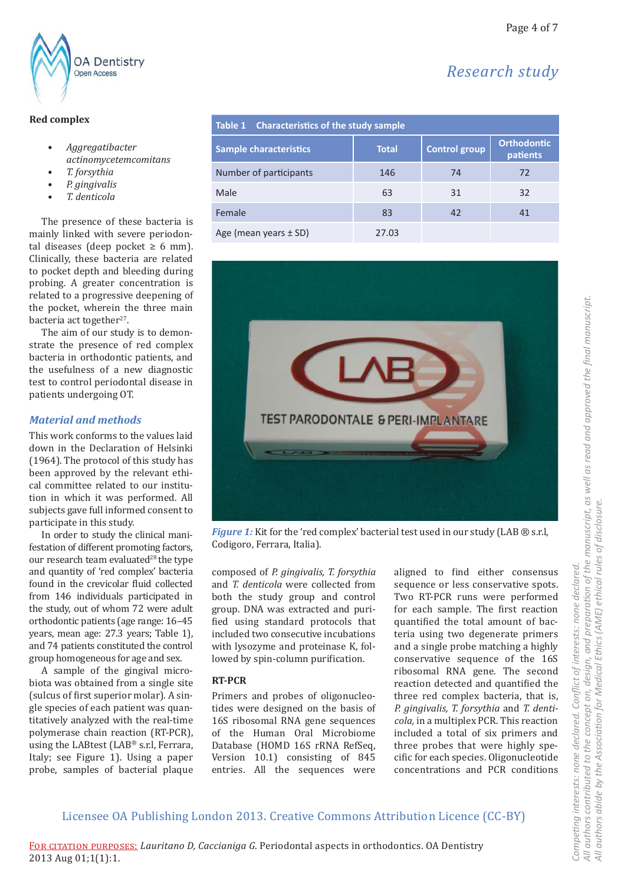Research study



## **Red complex**

- Aggregatibacter actinomycetemcomitans
- T. forsythia
- P. gingivalis
- T. denticola

The presence of these bacteria is mainly linked with severe periodontal diseases (deep pocket  $\geq 6$  mm). Clinically, these bacteria are related to pocket depth and bleeding during probing. A greater concentration is related to a progressive deepening of the pocket, wherein the three main bacteria act together<sup>27</sup>.

The aim of our study is to demonstrate the presence of red complex bacteria in orthodontic patients, and the usefulness of a new diagnostic test to control periodontal disease in patients undergoing OT.

## **Material and methods**

This work conforms to the values laid down in the Declaration of Helsinki (1964). The protocol of this study has been approved by the relevant ethical committee related to our institution in which it was performed. All subjects gave full informed consent to participate in this study.

In order to study the clinical manifestation of different promoting factors, our research team evaluated<sup>28</sup> the type and quantity of 'red complex' bacteria found in the crevicolar fluid collected from 146 individuals participated in the study, out of whom 72 were adult orthodontic patients (age range: 16-45 years, mean age: 27.3 years; Table 1), and 74 patients constituted the control group homogeneous for age and sex.

A sample of the gingival microbiota was obtained from a single site (sulcus of first superior molar). A single species of each patient was quantitatively analyzed with the real-time polymerase chain reaction (RT-PCR), using the LABtest (LAB® s.r.l, Ferrara, Italy; see Figure 1). Using a paper probe, samples of bacterial plaque

| <b>Characteristics of the study sample</b><br>Table 1 |              |                      |                                |
|-------------------------------------------------------|--------------|----------------------|--------------------------------|
| <b>Sample characteristics</b>                         | <b>Total</b> | <b>Control group</b> | <b>Orthodontic</b><br>patients |
| Number of participants                                | 146          | 74                   | 72                             |
| Male                                                  | 63           | 31                   | 32                             |
| Female                                                | 83           | 42                   | 41                             |
| Age (mean years $\pm$ SD)                             | 27.03        |                      |                                |



Figure 1: Kit for the 'red complex' bacterial test used in our study (LAB ® s.r.l, Codigoro, Ferrara, Italia).

composed of P. gingivalis, T. forsythia and T. denticola were collected from both the study group and control group. DNA was extracted and purified using standard protocols that included two consecutive incubations with lysozyme and proteinase K, followed by spin-column purification.

## **RT-PCR**

Primers and probes of oligonucleotides were designed on the basis of 16S ribosomal RNA gene sequences of the Human Oral Microbiome Database (HOMD 16S rRNA RefSeq, Version 10.1) consisting of 845 entries. All the sequences were

aligned to find either consensus sequence or less conservative spots. Two RT-PCR runs were performed for each sample. The first reaction quantified the total amount of bacteria using two degenerate primers and a single probe matching a highly conservative sequence of the 16S ribosomal RNA gene. The second reaction detected and quantified the three red complex bacteria, that is, P. gingivalis, T. forsythia and T. denticola, in a multiplex PCR. This reaction included a total of six primers and three probes that were highly specific for each species. Oligonucleotide concentrations and PCR conditions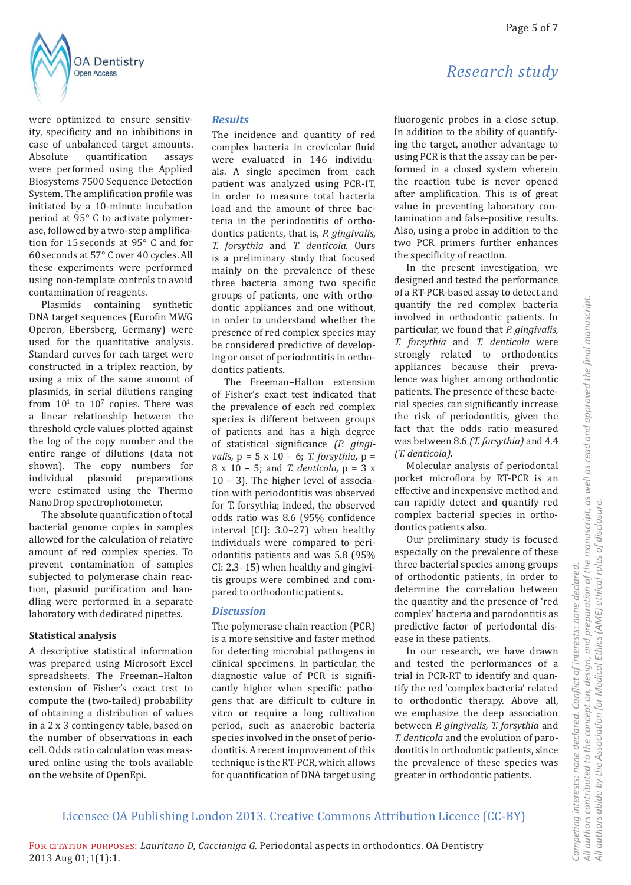*Research study*



were optimized to ensure sensitivity, specificity and no inhibitions in case of unbalanced target amounts. Absolute quantification assays were performed using the Applied Biosystems 7500 Sequence Detection System. The amplification profile was initiated by a 10-minute incubation period at 95° C to activate polymerase, followed by a two-step amplification for 15 seconds at 95° C and for 60 seconds at 57° C over 40 cycles. All these experiments were performed using non-template controls to avoid contamination of reagents.

Plasmids containing synthetic DNA target sequences (Eurofin MWG Operon, Ebersberg, Germany) were used for the quantitative analysis. Standard curves for each target were constructed in a triplex reaction, by using a mix of the same amount of plasmids, in serial dilutions ranging from  $10<sup>1</sup>$  to  $10<sup>7</sup>$  copies. There was a linear relationship between the threshold cycle values plotted against the log of the copy number and the entire range of dilutions (data not shown). The copy numbers for individual plasmid preparations were estimated using the Thermo NanoDrop spectrophotometer.

The absolute quantification of total bacterial genome copies in samples allowed for the calculation of relative amount of red complex species. To prevent contamination of samples subjected to polymerase chain reaction, plasmid purification and handling were performed in a separate laboratory with dedicated pipettes.

#### **Statistical analysis**

A descriptive statistical information was prepared using Microsoft Excel spreadsheets. The Freeman–Halton extension of Fisher's exact test to compute the (two-tailed) probability of obtaining a distribution of values in a 2 x 3 contingency table, based on the number of observations in each cell. Odds ratio calculation was measured online using the tools available on the website of OpenEpi.

#### *Results*

The incidence and quantity of red complex bacteria in crevicolar fluid were evaluated in 146 individuals. A single specimen from each patient was analyzed using PCR-IT, in order to measure total bacteria load and the amount of three bacteria in the periodontitis of orthodontics patients, that is, *P. gingivalis, T. forsythia* and *T. denticola.* Ours is a preliminary study that focused mainly on the prevalence of these three bacteria among two specific groups of patients, one with orthodontic appliances and one without, in order to understand whether the presence of red complex species may be considered predictive of developing or onset of periodontitis in orthodontics patients.

The Freeman–Halton extension of Fisher's exact test indicated that the prevalence of each red complex species is different between groups of patients and has a high degree of statistical significance (P. gingi*valis,* p = 5 x 10 – 6; *T. forsythia,* p = 8 x 10 – 5; and *T. denticola,* p = 3 x 10 – 3). The higher level of association with periodontitis was observed for T. forsythia; indeed, the observed odds ratio was 8.6 (95% confidence interval [CI]: 3.0–27) when healthy individuals were compared to periodontitis patients and was 5.8 (95% CI: 2.3–15) when healthy and gingivitis groups were combined and compared to orthodontic patients.

#### *Discussion*

The polymerase chain reaction (PCR) is a more sensitive and faster method for detecting microbial pathogens in clinical specimens. In particular, the diagnostic value of PCR is significantly higher when specific pathogens that are difficult to culture in vitro or require a long cultivation period, such as anaerobic bacteria species involved in the onset of periodontitis. A recent improvement of this technique is the RT-PCR, which allows for quantification of DNA target using

fluorogenic probes in a close setup. In addition to the ability of quantifying the target, another advantage to using PCR is that the assay can be performed in a closed system wherein the reaction tube is never opened after amplification. This is of great value in preventing laboratory contamination and false-positive results. Also, using a probe in addition to the two PCR primers further enhances the specificity of reaction.

In the present investigation, we designed and tested the performance of a RT-PCR-based assay to detect and quantify the red complex bacteria involved in orthodontic patients. In particular, we found that *P. gingivalis, T. forsythia* and *T. denticola* were strongly related to orthodontics appliances because their prevalence was higher among orthodontic patients. The presence of these bacterial species can significantly increase the risk of periodontitis, given the fact that the odds ratio measured was between 8.6 *(T. forsythia)* and 4.4 *(T. denticola)*.

Molecular analysis of periodontal pocket microflora by RT-PCR is an effective and inexpensive method and can rapidly detect and quantify red complex bacterial species in orthodontics patients also.

Our preliminary study is focused especially on the prevalence of these three bacterial species among groups of orthodontic patients, in order to determine the correlation between the quantity and the presence of 'red complex' bacteria and parodontitis as predictive factor of periodontal disease in these patients.

In our research, we have drawn and tested the performances of a trial in PCR-RT to identify and quantify the red 'complex bacteria' related to orthodontic therapy. Above all, we emphasize the deep association between *P. gingivalis, T. forsythia* and *T. denticola* and the evolution of parodontitis in orthodontic patients, since the prevalence of these species was greater in orthodontic patients.

*Ɵ on of the manuscript, as well as read and approved the* 

*Ɵ on for Medical Ethics (AME) ethical rules of disclosure.*

Conflict of interests: none declared.

*fi nal manuscript.*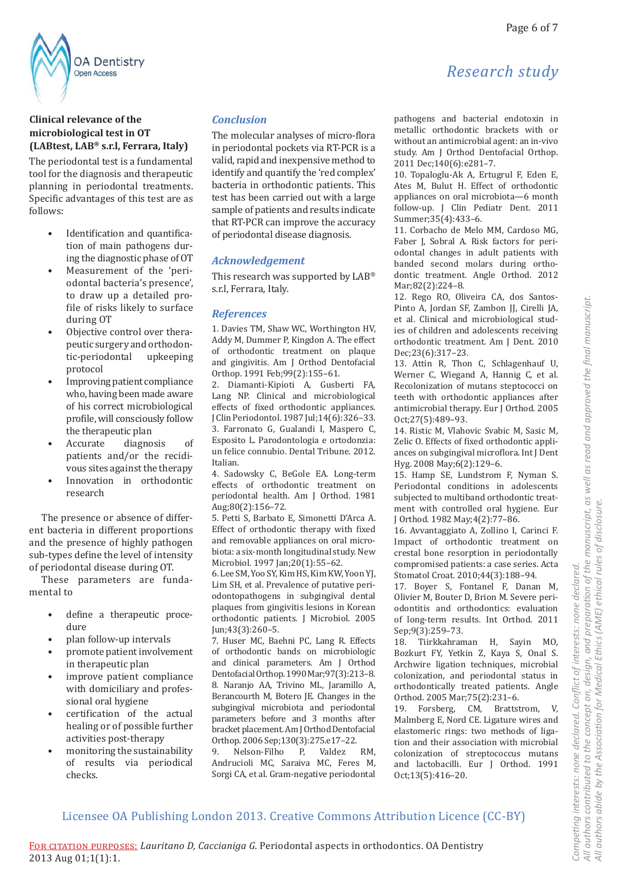

# Clinical relevance of the microbiological test in OT (LABtest, LAB® s.r.l, Ferrara, Italy)

The periodontal test is a fundamental tool for the diagnosis and therapeutic planning in periodontal treatments. Specific advantages of this test are as follows:

- Identification and quantification of main pathogens during the diagnostic phase of OT
- Measurement of the 'periodontal bacteria's presence', to draw up a detailed profile of risks likely to surface during OT
- Objective control over therapeutic surgery and orthodontic-periodontal upkeeping protocol
- Improving patient compliance who, having been made aware of his correct microbiological profile, will consciously follow the therapeutic plan
- Accurate diagnosis of patients and/or the recidivous sites against the therapy
- Innovation in orthodontic research

The presence or absence of different bacteria in different proportions and the presence of highly pathogen sub-types define the level of intensity of periodontal disease during OT.

These parameters are fundamental to

- define a therapeutic proce- $\bullet$ dure
- plan follow-up intervals
- promote patient involvement in therapeutic plan
- improve patient compliance with domiciliary and professional oral hygiene
- certification of the actual healing or of possible further activities post-therapy
- monitoring the sustainability of results via periodical checks

#### **Conclusion**

The molecular analyses of micro-flora in periodontal pockets via RT-PCR is a valid, rapid and inexpensive method to identify and quantify the 'red complex' bacteria in orthodontic patients. This test has been carried out with a large sample of patients and results indicate that RT-PCR can improve the accuracy of periodontal disease diagnosis.

## **Acknowledgement**

This research was supported by LAB<sup>®</sup> s.r.l, Ferrara, Italy.

#### **References**

1. Davies TM, Shaw WC, Worthington HV, Addy M, Dummer P, Kingdon A. The effect of orthodontic treatment on plaque and gingivitis. Am J Orthod Dentofacial Orthop. 1991 Feb; 99(2): 155-61.

2. Diamanti-Kipioti A, Gusberti FA, Lang NP. Clinical and microbiological effects of fixed orthodontic appliances. J Clin Periodontol. 1987 Jul; 14(6): 326-33. 3. Farronato G, Gualandi I, Maspero C, Esposito L. Parodontologia e ortodonzia: un felice connubio. Dental Tribune. 2012. Italian

4. Sadowsky C, BeGole EA. Long-term effects of orthodontic treatment on periodontal health. Am J Orthod. 1981 Aug;80(2):156-72.

5. Petti S, Barbato E, Simonetti D'Arca A. Effect of orthodontic therapy with fixed and removable appliances on oral microbiota: a six-month longitudinal study. New Microbiol. 1997 Jan;20(1):55-62.

6. Lee SM, Yoo SY, Kim HS, Kim KW, Yoon YJ, Lim SH, et al. Prevalence of putative periodontopathogens in subgingival dental plaques from gingivitis lesions in Korean orthodontic patients. J Microbiol. 2005 Jun; 43(3): 260-5.

7. Huser MC, Baehni PC, Lang R. Effects of orthodontic bands on microbiologic and clinical parameters. Am J Orthod Dentofacial Orthop. 1990 Mar; 97(3): 213-8. 8. Naranjo AA, Trivino ML, Jaramillo A, Berancourth M, Botero JE. Changes in the subgingival microbiota and periodontal parameters before and 3 months after bracket placement. Am J Orthod Dentofacial Orthop. 2006 Sep; 130(3): 275.e17-22.

9. Nelson-Filho  $P_{\rm r}$ Valdez  $RM$ . Andrucioli MC, Saraiva MC, Feres M, Sorgi CA, et al. Gram-negative periodontal

# pathogens and bacterial endotoxin in

Research study

metallic orthodontic brackets with or without an antimicrobial agent: an in-vivo study. Am J Orthod Dentofacial Orthop. 2011 Dec; 140(6): e281-7.

10. Topaloglu-Ak A, Ertugrul F, Eden E, Ates M, Bulut H. Effect of orthodontic appliances on oral microbiota-6 month follow-up. J Clin Pediatr Dent. 2011 Summer; 35(4): 433-6.

11. Corbacho de Melo MM, Cardoso MG, Faber J, Sobral A. Risk factors for periodontal changes in adult patients with banded second molars during orthodontic treatment. Angle Orthod. 2012 Mar;82(2):224-8.

12. Rego RO, Oliveira CA, dos Santos-Pinto A, Jordan SF, Zambon JJ, Cirelli JA, et al. Clinical and microbiological studies of children and adolescents receiving orthodontic treatment. Am J Dent. 2010 Dec;23(6):317-23.

13. Attin R, Thon C, Schlagenhauf U, Werner C, Wiegand A, Hannig C, et al. Recolonization of mutans steptococci on teeth with orthodontic appliances after antimicrobial therapy. Eur J Orthod. 2005 Oct;27(5):489-93.

14. Ristic M, Vlahovic Svabic M, Sasic M, Zelic O. Effects of fixed orthodontic appliances on subgingival microflora. Int J Dent Hyg. 2008 May;6(2):129-6.

15. Hamp SE, Lundstrom F, Nyman S. Periodontal conditions in adolescents subjected to multiband orthodontic treatment with controlled oral hygiene. Eur J Orthod. 1982 May; 4(2): 77-86.

16. Avvantaggiato A, Zollino I, Carinci F. Impact of orthodontic treatment on crestal bone resorption in periodontally compromised patients: a case series. Acta Stomatol Croat. 2010;44(3):188-94.

17. Boyer S, Fontanel F, Danan M, Olivier M, Bouter D, Brion M. Severe periodontitis and orthodontics: evaluation of long-term results. Int Orthod. 2011 Sep;9(3):259-73.

18. Tiirkkahraman H, Sayin MO, Bozkurt FY, Yetkin Z, Kaya S, Onal S. Archwire ligation techniques, microbial colonization, and periodontal status in orthodontically treated patients. Angle Orthod. 2005 Mar; 75(2): 231-6.

19. Forsberg, CM, Brattstrom, V, Malmberg E, Nord CE. Ligature wires and elastomeric rings: two methods of ligation and their association with microbial colonization of streptococcus mutans and lactobacilli. Eur J Orthod. 1991 Oct;13(5):416-20.